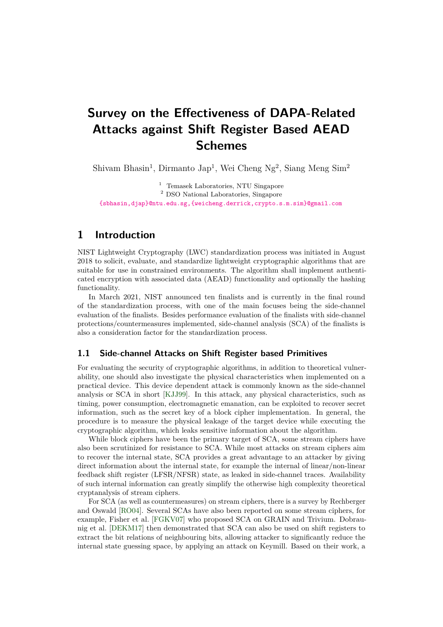# **Survey on the Effectiveness of DAPA-Related Attacks against Shift Register Based AEAD Schemes**

Shivam Bhasin<sup>1</sup>, Dirmanto Jap<sup>1</sup>, Wei Cheng Ng<sup>2</sup>, Siang Meng Sim<sup>2</sup>

<sup>1</sup> Temasek Laboratories, NTU Singapore

<sup>2</sup> DSO National Laboratories, Singapore

[{sbhasin,djap}@ntu.edu.sg,{weicheng.derrick,crypto.s.m.sim}@gmail.com](mailto:{sbhasin,djap}@ntu.edu.sg, {weicheng.derrick,crypto.s.m.sim}@gmail.com)

# **1 Introduction**

NIST Lightweight Cryptography (LWC) standardization process was initiated in August 2018 to solicit, evaluate, and standardize lightweight cryptographic algorithms that are suitable for use in constrained environments. The algorithm shall implement authenticated encryption with associated data (AEAD) functionality and optionally the hashing functionality.

In March 2021, NIST announced ten finalists and is currently in the final round of the standardization process, with one of the main focuses being the side-channel evaluation of the finalists. Besides performance evaluation of the finalists with side-channel protections/countermeasures implemented, side-channel analysis (SCA) of the finalists is also a consideration factor for the standardization process.

# **1.1 Side-channel Attacks on Shift Register based Primitives**

For evaluating the security of cryptographic algorithms, in addition to theoretical vulnerability, one should also investigate the physical characteristics when implemented on a practical device. This device dependent attack is commonly known as the side-channel analysis or SCA in short [\[KJJ99\]](#page-14-0). In this attack, any physical characteristics, such as timing, power consumption, electromagnetic emanation, can be exploited to recover secret information, such as the secret key of a block cipher implementation. In general, the procedure is to measure the physical leakage of the target device while executing the cryptographic algorithm, which leaks sensitive information about the algorithm.

While block ciphers have been the primary target of SCA, some stream ciphers have also been scrutinized for resistance to SCA. While most attacks on stream ciphers aim to recover the internal state, SCA provides a great advantage to an attacker by giving direct information about the internal state, for example the internal of linear/non-linear feedback shift register (LFSR/NFSR) state, as leaked in side-channel traces. Availability of such internal information can greatly simplify the otherwise high complexity theoretical cryptanalysis of stream ciphers.

For SCA (as well as countermeasures) on stream ciphers, there is a survey by Rechberger and Oswald [\[RO04\]](#page-14-1). Several SCAs have also been reported on some stream ciphers, for example, Fisher et al. [\[FGKV07\]](#page-13-0) who proposed SCA on GRAIN and Trivium. Dobraunig et al. [\[DEKM17\]](#page-13-1) then demonstrated that SCA can also be used on shift registers to extract the bit relations of neighbouring bits, allowing attacker to significantly reduce the internal state guessing space, by applying an attack on Keymill. Based on their work, a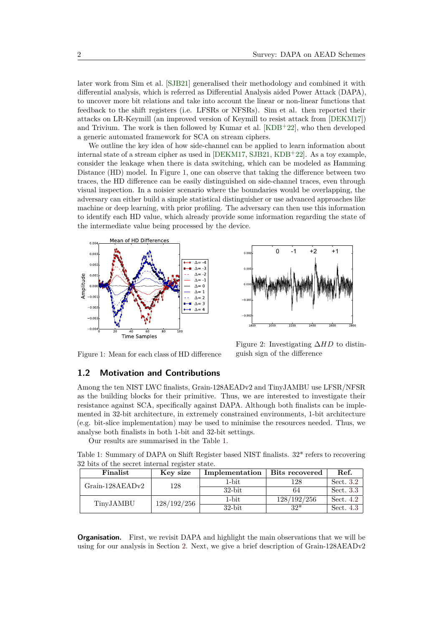later work from Sim et al. [\[SJB21\]](#page-14-2) generalised their methodology and combined it with differential analysis, which is referred as Differential Analysis aided Power Attack (DAPA), to uncover more bit relations and take into account the linear or non-linear functions that feedback to the shift registers (i.e. LFSRs or NFSRs). Sim et al. then reported their attacks on LR-Keymill (an improved version of Keymill to resist attack from [\[DEKM17\]](#page-13-1)) and Trivium. The work is then followed by Kumar et al.  $[KDB<sup>+</sup>22]$  $[KDB<sup>+</sup>22]$ , who then developed a generic automated framework for SCA on stream ciphers.

We outline the key idea of how side-channel can be applied to learn information about internal state of a stream cipher as used in  $[DEKM17, SBB21, KDB+22]$  $[DEKM17, SBB21, KDB+22]$  $[DEKM17, SBB21, KDB+22]$  $[DEKM17, SBB21, KDB+22]$ . As a toy example, consider the leakage when there is data switching, which can be modeled as Hamming Distance (HD) model. In Figure [1,](#page-1-0) one can observe that taking the difference between two traces, the HD difference can be easily distinguished on side-channel traces, even through visual inspection. In a noisier scenario where the boundaries would be overlapping, the adversary can either build a simple statistical distinguisher or use advanced approaches like machine or deep learning, with prior profiling. The adversary can then use this information to identify each HD value, which already provide some information regarding the state of the intermediate value being processed by the device.





Figure 2: Investigating ∆*HD* to distin-

guish sign of the difference

<span id="page-1-0"></span>Figure 1: Mean for each class of HD difference

# **1.2 Motivation and Contributions**

Among the ten NIST LWC finalists, Grain-128AEADv2 and TinyJAMBU use LFSR/NFSR as the building blocks for their primitive. Thus, we are interested to investigate their resistance against SCA, specifically against DAPA. Although both finalists can be implemented in 32-bit architecture, in extremely constrained environments, 1-bit architecture (e.g. bit-slice implementation) may be used to minimise the resources needed. Thus, we analyse both finalists in both 1-bit and 32-bit settings.

Our results are summarised in the Table [1.](#page-1-1)

<span id="page-1-1"></span>Table 1: Summary of DAPA on Shift Register based NIST finalists. 32\* refers to recovering 32 bits of the secret internal register state.

| Finalist          | Key size    | Implementation | Bits recovered | Ref.        |
|-------------------|-------------|----------------|----------------|-------------|
| $Grain-128AEADv2$ | 128         | 1-bit          | 128            | Sect. 3.2   |
|                   |             | $32$ -bit      | 64             | Sect. 3.3   |
| TinyJAMBU         | 128/192/256 | 1-bit          | 128/192/256    | Sect. $4.2$ |
|                   |             | $32$ -bit      | $32*$          | Sect. 4.3   |

**Organisation.** First, we revisit DAPA and highlight the main observations that we will be using for our analysis in Section [2.](#page-2-0) Next, we give a brief description of Grain-128AEADv2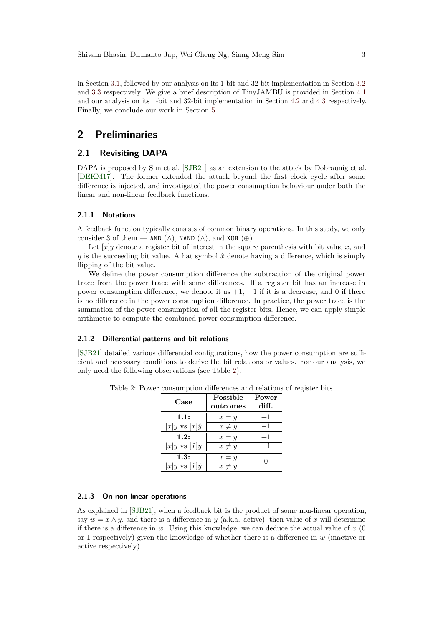# <span id="page-2-0"></span>**2 Preliminaries**

# **2.1 Revisiting DAPA**

DAPA is proposed by Sim et al. [\[SJB21\]](#page-14-2) as an extension to the attack by Dobraunig et al. [\[DEKM17\]](#page-13-1). The former extended the attack beyond the first clock cycle after some difference is injected, and investigated the power consumption behaviour under both the linear and non-linear feedback functions.

## **2.1.1 Notations**

A feedback function typically consists of common binary operations. In this study, we only consider 3 of them — AND ( $\wedge$ ), NAND ( $\overline{\wedge}$ ), and XOR ( $\oplus$ ).

Let  $[x]$ *y* denote a register bit of interest in the square parenthesis with bit value *x*, and *y* is the succeeding bit value. A hat symbol  $\hat{x}$  denote having a difference, which is simply flipping of the bit value.

We define the power consumption difference the subtraction of the original power trace from the power trace with some differences. If a register bit has an increase in power consumption difference, we denote it as  $+1$ ,  $-1$  if it is a decrease, and 0 if there is no difference in the power consumption difference. In practice, the power trace is the summation of the power consumption of all the register bits. Hence, we can apply simple arithmetic to compute the combined power consumption difference.

## <span id="page-2-2"></span>**2.1.2 Differential patterns and bit relations**

<span id="page-2-1"></span>[\[SJB21\]](#page-14-2) detailed various differential configurations, how the power consumption are sufficient and necessary conditions to derive the bit relations or values. For our analysis, we only need the following observations (see Table [2\)](#page-2-1).

| Case                         | Possible<br>outcomes | Power<br>diff. |
|------------------------------|----------------------|----------------|
| 1.1:                         | $x = y$              | $+1$           |
| $[x]y$ vs $[x]\hat{y}$       | $x \neq y$           |                |
| 1.2:                         | $x = y$              | $+1$           |
| $[x]y$ vs $[\hat{x}]y$       | $x \neq y$           |                |
| 1.3:                         | $x = y$              |                |
| $[x]y$ vs $[\hat{x}]\hat{y}$ | $x \neq y$           |                |

Table 2: Power consumption differences and relations of register bits

## **2.1.3 On non-linear operations**

As explained in [\[SJB21\]](#page-14-2), when a feedback bit is the product of some non-linear operation, say  $w = x \wedge y$ , and there is a difference in *y* (a.k.a. active), then value of *x* will determine if there is a difference in *w*. Using this knowledge, we can deduce the actual value of *x* (0 or 1 respectively) given the knowledge of whether there is a difference in *w* (inactive or active respectively).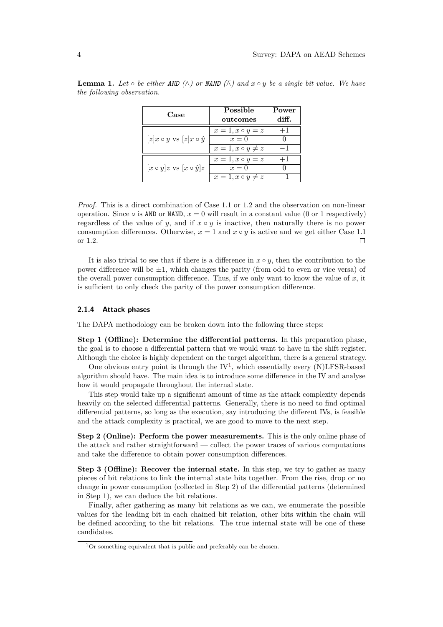| Case                                   | Possible<br>outcomes  | Power<br>diff. |
|----------------------------------------|-----------------------|----------------|
|                                        | $x=1, x\circ y=z$     | $+1$           |
| $[z]x \circ y$ vs $[z]x \circ \hat{y}$ | $x=0$                 |                |
|                                        | $x=1, x\circ y\neq z$ |                |
|                                        | $x=1, x\circ y=z$     | $+1$           |
| $[x \circ y]z$ vs $[x \circ \hat{y}]z$ | $x=0$                 |                |
|                                        | $x=1, x\circ y\neq z$ |                |

<span id="page-3-1"></span>**Lemma 1.** Let  $\circ$  be either **AND**  $(\wedge)$  or **NAND**  $(\wedge)$  and  $x \circ y$  be a single bit value. We have *the following observation.*

*Proof.* This is a direct combination of Case 1.1 or 1.2 and the observation on non-linear operation. Since  $\circ$  is AND or NAND,  $x = 0$  will result in a constant value (0 or 1 respectively) regardless of the value of *y*, and if  $x \circ y$  is inactive, then naturally there is no power consumption differences. Otherwise,  $x = 1$  and  $x \circ y$  is active and we get either Case 1.1 or 1.2.  $\Box$ 

It is also trivial to see that if there is a difference in  $x \circ y$ , then the contribution to the power difference will be  $\pm 1$ , which changes the parity (from odd to even or vice versa) of the overall power consumption difference. Thus, if we only want to know the value of *x*, it is sufficient to only check the parity of the power consumption difference.

#### **2.1.4 Attack phases**

The DAPA methodology can be broken down into the following three steps:

**Step 1 (Offline): Determine the differential patterns.** In this preparation phase, the goal is to choose a differential pattern that we would want to have in the shift register. Although the choice is highly dependent on the target algorithm, there is a general strategy.

One obvious entry point is through the  $IV<sup>1</sup>$  $IV<sup>1</sup>$  $IV<sup>1</sup>$ , which essentially every  $(N)LFSR$ -based algorithm should have. The main idea is to introduce some difference in the IV and analyse how it would propagate throughout the internal state.

This step would take up a significant amount of time as the attack complexity depends heavily on the selected differential patterns. Generally, there is no need to find optimal differential patterns, so long as the execution, say introducing the different IVs, is feasible and the attack complexity is practical, we are good to move to the next step.

**Step 2 (Online): Perform the power measurements.** This is the only online phase of the attack and rather straightforward — collect the power traces of various computations and take the difference to obtain power consumption differences.

**Step 3 (Offline): Recover the internal state.** In this step, we try to gather as many pieces of bit relations to link the internal state bits together. From the rise, drop or no change in power consumption (collected in Step 2) of the differential patterns (determined in Step 1), we can deduce the bit relations.

Finally, after gathering as many bit relations as we can, we enumerate the possible values for the leading bit in each chained bit relation, other bits within the chain will be defined according to the bit relations. The true internal state will be one of these candidates.

<span id="page-3-0"></span> $1$ Or something equivalent that is public and preferably can be chosen.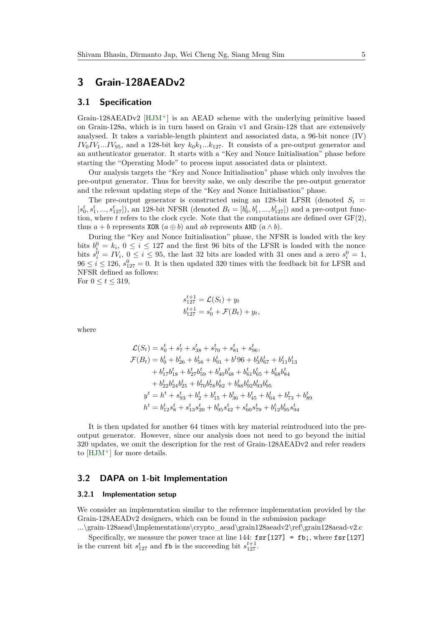# **3 Grain-128AEADv2**

# <span id="page-4-1"></span>**3.1 Specification**

Grain-128AEADv2  $[HJM^+]$  $[HJM^+]$  is an AEAD scheme with the underlying primitive based on Grain-128a, which is in turn based on Grain v1 and Grain-128 that are extensively analysed. It takes a variable-length plaintext and associated data, a 96-bit nonce (IV)  $IV_0IV_1...IV_{95}$ , and a 128-bit key  $k_0k_1...k_{127}$ . It consists of a pre-output generator and an authenticator generator. It starts with a "Key and Nonce Initialisation" phase before starting the "Operating Mode" to process input associated data or plaintext.

Our analysis targets the "Key and Nonce Initialisation" phase which only involves the pre-output generator. Thus for brevity sake, we only describe the pre-output generator and the relevant updating steps of the "Key and Nonce Initialisation" phase.

The pre-output generator is constructed using an 128-bit LFSR (denoted  $S_t$ )  $[s_0^t, s_1^t, ..., s_{127}^t]$ ), an 128-bit NFSR (denoted  $B_t = [b_0^t, b_1^t, ..., b_{127}^t]$ ) and a pre-output function, where  $t$  refers to the clock cycle. Note that the computations are defined over  $GF(2)$ , thus  $a + b$  represents XOR  $(a \oplus b)$  and  $ab$  represents AND  $(a \wedge b)$ .

During the "Key and Nonce Initialisation" phase, the NFSR is loaded with the key bits  $b_i^0 = k_i$ ,  $0 \le i \le 127$  and the first 96 bits of the LFSR is loaded with the nonce bits  $s_i^0 = IV_i$ ,  $0 \le i \le 95$ , the last 32 bits are loaded with 31 ones and a zero  $s_i^0 = 1$ ,  $96 \le i \le 126$ ,  $s_{127}^0 = 0$ . It is then updated 320 times with the feedback bit for LFSR and NFSR defined as follows:

For  $0 \le t \le 319$ ,

$$
s_{127}^{t+1} = \mathcal{L}(S_t) + y_t
$$
  
\n
$$
b_{127}^{t+1} = s_0^t + \mathcal{F}(B_t) + y_t,
$$

where

$$
\begin{aligned} \mathcal{L}(S_t) &= s_0^t + s_7^t + s_{38}^t + s_{70}^t + s_{81}^t + s_{96}^t, \\ \mathcal{F}(B_t) &= b_0^t + b_{26}^t + b_{56}^t + b_{91}^t + b^t 96 + b_3^t b_{67}^t + b_{11}^t b_{13}^t \\ &\quad + b_{17}^t b_{18}^t + b_{27}^t b_{59}^t + b_{40}^t b_{48}^t + b_{61}^t b_{65}^t + b_{68}^t b_{84}^t \\ &\quad + b_{22}^t b_{24}^t b_{25}^t + b_{70}^t b_{78}^t b_{82}^t + b_{88}^t b_{92}^t b_{93}^t b_{95}^t \\ y^t &= h^t + s_{93}^t + b_2^t + b_{15}^t + b_{36}^t + b_{45}^t + b_{64}^t + b_{73}^t + b_{89}^t \\ h^t &= b_{12}^t s_8^t + s_{13}^t s_{20}^t + b_{95}^t s_{42}^t + s_{60}^t s_{79}^t + b_{12}^t b_{95}^t s_{94}^t \end{aligned}
$$

It is then updated for another 64 times with key material reintroduced into the preoutput generator. However, since our analysis does not need to go beyond the initial 320 updates, we omit the description for the rest of Grain-128AEADv2 and refer readers to [\[HJM](#page-14-4)<sup>+</sup>] for more details.

## <span id="page-4-0"></span>**3.2 DAPA on 1-bit Implementation**

# **3.2.1 Implementation setup**

We consider an implementation similar to the reference implementation provided by the Grain-128AEADv2 designers, which can be found in the submission package

...\grain-128aead\Implementations\crypto\_aead\grain128aeadv2\ref\grain128aead-v2.c

Specifically, we measure the power trace at line  $144$ :  $fsr[127] = fb$ ;, where  $fsr[127]$ is the current bit  $s_{127}^t$  and **fb** is the succeeding bit  $s_{127}^{t+1}$ .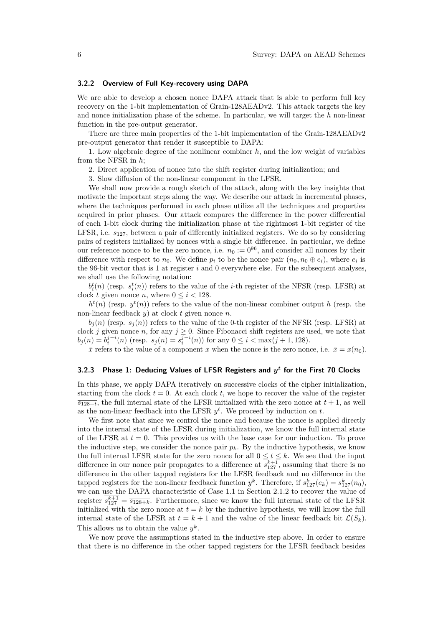#### <span id="page-5-0"></span>**3.2.2 Overview of Full Key-recovery using DAPA**

We are able to develop a chosen nonce DAPA attack that is able to perform full key recovery on the 1-bit implementation of Grain-128AEADv2. This attack targets the key and nonce initialization phase of the scheme. In particular, we will target the *h* non-linear function in the pre-output generator.

There are three main properties of the 1-bit implementation of the Grain-128AEADv2 pre-output generator that render it susceptible to DAPA:

1. Low algebraic degree of the nonlinear combiner *h*, and the low weight of variables from the NFSR in *h*;

2. Direct application of nonce into the shift register during initialization; and

3. Slow diffusion of the non-linear component in the LFSR.

We shall now provide a rough sketch of the attack, along with the key insights that motivate the important steps along the way. We describe our attack in incremental phases, where the techniques performed in each phase utilize all the techniques and properties acquired in prior phases. Our attack compares the difference in the power differential of each 1-bit clock during the initialization phase at the rightmost 1-bit register of the LFSR, i.e. *s*127, between a pair of differently initialized registers. We do so by considering pairs of registers initialized by nonces with a single bit difference. In particular, we define our reference nonce to be the zero nonce, i.e.  $n_0 := 0^{96}$ , and consider all nonces by their difference with respect to  $n_0$ . We define  $p_i$  to be the nonce pair  $(n_0, n_0 \oplus e_i)$ , where  $e_i$  is the 96-bit vector that is 1 at register *i* and 0 everywhere else. For the subsequent analyses, we shall use the following notation:

 $b_i^t(n)$  (resp.  $s_i^t(n)$ ) refers to the value of the *i*-th register of the NFSR (resp. LFSR) at clock *t* given nonce *n*, where  $0 \le i < 128$ .

 $h^t(n)$  (resp.  $y^t(n)$ ) refers to the value of the non-linear combiner output *h* (resp. the non-linear feedback *y*) at clock *t* given nonce *n*.

 $b_i(n)$  (resp.  $s_i(n)$ ) refers to the value of the 0-th register of the NFSR (resp. LFSR) at clock *j* given nonce *n*, for any  $j \geq 0$ . Since Fibonacci shift registers are used, we note that  $b_j(n) = b_i^{j-i}(n)$  (resp.  $s_j(n) = s_i^{j-i}(n)$ ) for any  $0 \le i < \max(j + 1, 128)$ .

 $\bar{x}$  refers to the value of a component *x* when the nonce is the zero nonce, i.e.  $\bar{x} = x(n_0)$ .

# **3.2.3 Phase 1: Deducing Values of LFSR Registers and** *y t* **for the First 70 Clocks**

In this phase, we apply DAPA iteratively on successive clocks of the cipher initialization, starting from the clock  $t = 0$ . At each clock  $t$ , we hope to recover the value of the register  $\overline{s_{128+t}}$ , the full internal state of the LFSR initialized with the zero nonce at  $t+1$ , as well as the non-linear feedback into the LFSR  $y<sup>t</sup>$ . We proceed by induction on  $t$ .

We first note that since we control the nonce and because the nonce is applied directly into the internal state of the LFSR during initialization, we know the full internal state of the LFSR at  $t = 0$ . This provides us with the base case for our induction. To prove the inductive step, we consider the nonce pair  $p_k$ . By the inductive hypothesis, we know the full internal LFSR state for the zero nonce for all  $0 \le t \le k$ . We see that the input difference in our nonce pair propagates to a difference at  $s_{127}^{k+1}$ , assuming that there is no difference in the other tapped registers for the LFSR feedback and no difference in the tapped registers for the non-linear feedback function  $y^k$ . Therefore, if  $s_{127}^k(e_k) = s_{127}^k(n_0)$ , we can use the DAPA characteristic of Case 1.1 in Section 2.1.2 to recover the value of register  $s_{127}^{k+1} = \overline{s_{128+k}}$ . Furthermore, since we know the full internal state of the LFSR initialized with the zero nonce at  $t = k$  by the inductive hypothesis, we will know the full internal state of the LFSR at  $t = k + 1$  and the value of the linear feedback bit  $\mathcal{L}(S_k)$ . This allows us to obtain the value  $y^k$ .

We now prove the assumptions stated in the inductive step above. In order to ensure that there is no difference in the other tapped registers for the LFSR feedback besides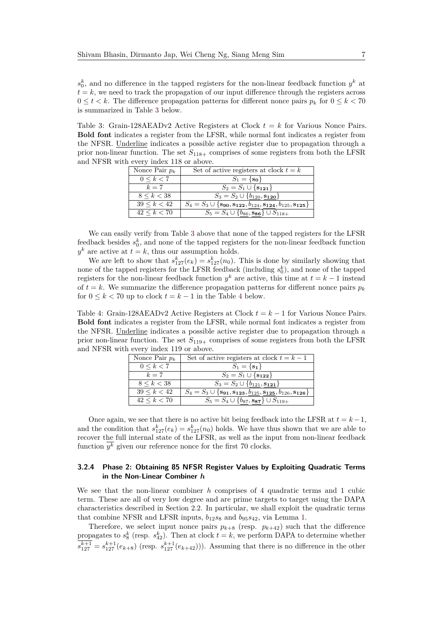$s_0^k$ , and no difference in the tapped registers for the non-linear feedback function  $y^k$  at  $t = k$ , we need to track the propagation of our input difference through the registers across  $0 \leq t < k$ . The difference propagation patterns for different nonce pairs  $p_k$  for  $0 \leq k < 70$ is summarized in Table [3](#page-6-0) below.

<span id="page-6-0"></span>Table 3: Grain-128AEADv2 Active Registers at Clock *t* = *k* for Various Nonce Pairs. **Bold font** indicates a register from the LFSR, while normal font indicates a register from the NFSR. Underline indicates a possible active register due to propagation through a prior non-linear function. The set *S*118+ comprises of some registers from both the LFSR and NFSR with every index 118 or above.

| Nonce Pair $p_k$    | Set of active registers at clock $t = k$                                                     |
|---------------------|----------------------------------------------------------------------------------------------|
| $0 \leq k < 7$      | $S_1 = \{s_0\}$                                                                              |
| $k=7$               | $S_2 = S_1 \cup \{s_{121}\}\$                                                                |
| $8 \leq k < 38$     | $\overline{S_3} = S_2 \cup \{b_{120}, s_{120}\}\$                                            |
| $39 \leq k \leq 42$ | $S_4 = S_3 \cup {\bf s}_{90}, {\bf s}_{122}, b_{124}, {\bf s}_{124}, b_{125}, {\bf s}_{125}$ |
| $42 \leq k \leq 70$ | $S_5 = S_4 \cup \{b_{86}, s_{86}\} \cup S_{118+}$                                            |

We can easily verify from Table [3](#page-6-0) above that none of the tapped registers for the LFSR feedback besides  $s_0^k$ , and none of the tapped registers for the non-linear feedback function  $y^k$  are active at  $t = k$ , thus our assumption holds.

We are left to show that  $s_{127}^k(e_k) = s_{127}^k(n_0)$ . This is done by similarly showing that none of the tapped registers for the LFSR feedback (including  $s_0^k$ ), and none of the tapped registers for the non-linear feedback function  $y^k$  are active, this time at  $t = k - 1$  instead of  $t = k$ . We summarize the difference propagation patterns for different nonce pairs  $p_k$ for  $0 \leq k < 70$  up to clock  $t = k - 1$  in the Table [4](#page-6-1) below.

<span id="page-6-1"></span>Table 4: Grain-128AEADv2 Active Registers at Clock *t* = *k* − 1 for Various Nonce Pairs. **Bold font** indicates a register from the LFSR, while normal font indicates a register from the NFSR. Underline indicates a possible active register due to propagation through a prior non-linear function. The set *S*119+ comprises of some registers from both the LFSR and NFSR with every index 119 or above.

| Nonce Pair $p_k$    | Set of active registers at clock $t = k - 1$                                                                                        |
|---------------------|-------------------------------------------------------------------------------------------------------------------------------------|
| $0 \leq k \leq 7$   | $S_1 = \{s_1\}$                                                                                                                     |
| $k=7$               | $S_2 = S_1 \cup \{s_{122}\}\$                                                                                                       |
| $8 \leq k < 38$     | $\overline{S_3} = S_2 \cup \{b_{121}, s_{121}\}\$                                                                                   |
| $39 \leq k \leq 42$ | $S_4 = S_3 \cup {\mathbf{s_{91}}, \mathbf{s_{123}}, \underline{b_{125}}, \underline{\mathbf{s_{125}}}, b_{126}, \mathbf{s_{126}}\}$ |
| $42 \leq k \leq 70$ | $S_5 = S_4 \cup \{b_{87}, s_{87}\} \cup S_{119+}$                                                                                   |

Once again, we see that there is no active bit being feedback into the LFSR at  $t = k - 1$ , and the condition that  $s_{127}^k(e_k) = s_{127}^k(n_0)$  holds. We have thus shown that we are able to recover the full internal state of the LFSR, as well as the input from non-linear feedback function  $y^k$  given our reference nonce for the first 70 clocks.

# **3.2.4 Phase 2: Obtaining 85 NFSR Register Values by Exploiting Quadratic Terms in the Non-Linear Combiner** *h*

We see that the non-linear combiner *h* comprises of 4 quadratic terms and 1 cubic term. These are all of very low degree and are prime targets to target using the DAPA characteristics described in Section 2.2. In particular, we shall exploit the quadratic terms that combine NFSR and LFSR inputs,  $b_{12} s_8$  and  $b_{95} s_{42}$ , via Lemma [1.](#page-3-1)

Therefore, we select input nonce pairs  $p_{k+8}$  (resp.  $p_{k+42}$ ) such that the difference propagates to  $s_8^k$  (resp.  $s_{42}^k$ ). Then at clock  $t = k$ , we perform DAPA to determine whether  $s_{127}^{k+1} = s_{127}^{k+1}(e_{k+8})$  (resp.  $s_{127}^{k+1}(e_{k+42})$ )). Assuming that there is no difference in the other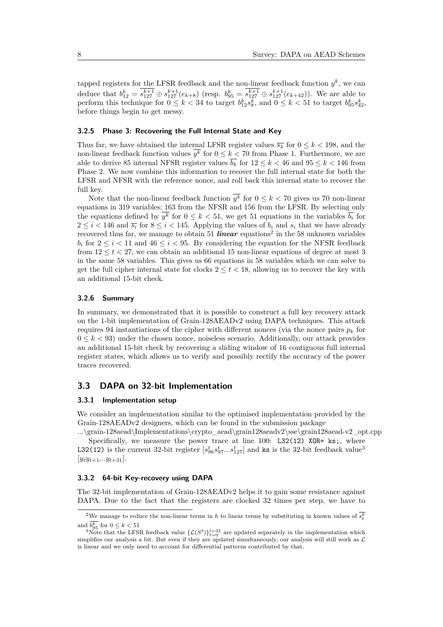tapped registers for the LFSR feedback and the non-linear feedback function  $y^k$ , we can deduce that  $b_{12}^k = s_{127}^{k+1} \oplus s_{127}^{k+1}(e_{k+8})$  (resp.  $b_{95}^k = s_{127}^{k+1} \oplus s_{127}^{k+1}(e_{k+42})$ ). We are able to perform this technique for  $0 \leq k < 34$  to target  $b_{12}^k s_8^k$ , and  $0 \leq k < 51$  to target  $b_{95}^k s_{42}^k$ , before things begin to get messy.

#### **3.2.5 Phase 3: Recovering the Full Internal State and Key**

Thus far, we have obtained the internal LFSR register values  $\overline{s_k}$  for  $0 \le k < 198$ , and the non-linear feedback function values  $y^k$  for  $0 \leq k < 70$  from Phase 1. Furthermore, we are able to derive 85 internal NFSR register values  $\overline{b_k}$  for  $12 \leq k < 46$  and  $95 \leq k < 146$  from Phase 2. We now combine this information to recover the full internal state for both the LFSR and NFSR with the reference nonce, and roll back this internal state to recover the full key.

Note that the non-linear feedback function  $y^k$  for  $0 \leq k < 70$  gives us 70 non-linear equations in 319 variables; 163 from the NFSR and 156 from the LFSR. By selecting only the equations defined by  $y^k$  for  $0 \leq k < 51$ , we get 51 equations in the variables  $\overline{b_i}$  for  $2 \leq i < 146$  and  $\overline{s_i}$  for  $8 \leq i < 145$ . Applying the values of  $b_i$  and  $s_i$  that we have already recovered thus far, we manage to obtain 51 *linear* equations<sup>[2](#page-7-1)</sup> in the 58 unknown variables *b*<sub>*i*</sub> for  $2 \leq i < 11$  and  $46 \leq i < 95$ . By considering the equation for the NFSR feedback from  $12 \le t \le 27$ , we can obtain an additional 15 non-linear equations of degree at most 3 in the same 58 variables. This gives us 66 equations in 58 variables which we can solve to get the full cipher internal state for clocks  $2 \le t \le 18$ , allowing us to recover the key with an additional 15-bit check.

#### **3.2.6 Summary**

In summary, we demonstrated that it is possible to construct a full key recovery attack on the 1-bit implementation of Grain-128AEADv2 using DAPA techniques. This attack requires 94 instantiations of the cipher with different nonces (via the nonce pairs  $p_k$  for  $0 \leq k \leq 93$ ) under the chosen nonce, noiseless scenario. Additionally, our attack provides an additional 15-bit check by recovering a sliding window of 16 contiguous full internal register states, which allows us to verify and possibly rectify the accuracy of the power traces recovered.

# <span id="page-7-0"></span>**3.3 DAPA on 32-bit Implementation**

#### **3.3.1 Implementation setup**

We consider an implementation similar to the optimised implementation provided by the Grain-128AEADv2 designers, which can be found in the submission package

...\grain-128aead\Implementations\crypto\_aead\grain128aeadv2\sse\grain128aead-v2\_opt.cpp Specifically, we measure the power trace at line  $100$ : L32(12) XOR= ks;, where L[3](#page-7-2)2(12) is the current 32-bit register  $[s_{96}^t s_{97}^t... s_{127}^t]$  and ks is the 32-bit feedback value<sup>3</sup>  $[y_t y_{t+1}... y_{t+31}].$ 

#### **3.3.2 64-bit Key-recovery using DAPA**

The 32-bit implementation of Grain-128AEADv2 helps it to gain some resistance against DAPA. Due to the fact that the registers are clocked 32 times per step, we have to

<span id="page-7-1"></span><sup>&</sup>lt;sup>2</sup>We manage to reduce the non-linear terms in *h* to linear terms by substituting in known values of  $s_t^k$ and  $b_{95}^k$  for  $0 \leq k < 51$ 

<span id="page-7-2"></span><sup>&</sup>lt;sup>3</sup>Note that the LFSR feedback value  $\{\mathcal{L}(S^t)\}_{t=0}^{t=31}$  are updated separately in the implementation which simplifies our analysis a bit. But even if they are updated simultaneously, our analysis will still work as  $\mathcal L$ is linear and we only need to account for differential patterns contributed by that.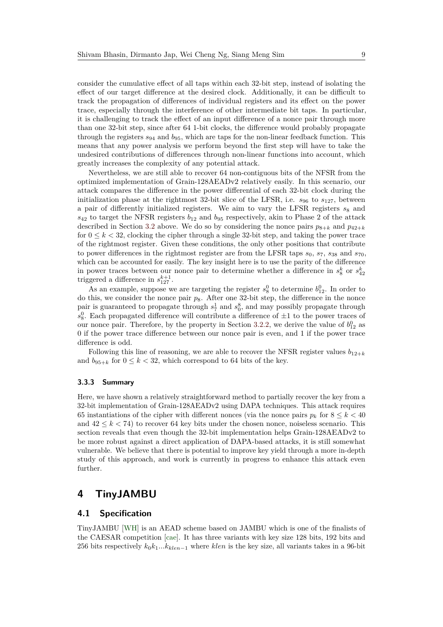consider the cumulative effect of all taps within each 32-bit step, instead of isolating the effect of our target difference at the desired clock. Additionally, it can be difficult to track the propagation of differences of individual registers and its effect on the power trace, especially through the interference of other intermediate bit taps. In particular, it is challenging to track the effect of an input difference of a nonce pair through more than one 32-bit step, since after 64 1-bit clocks, the difference would probably propagate through the registers *s*<sup>94</sup> and *b*95, which are taps for the non-linear feedback function. This means that any power analysis we perform beyond the first step will have to take the undesired contributions of differences through non-linear functions into account, which greatly increases the complexity of any potential attack.

Nevertheless, we are still able to recover 64 non-contiguous bits of the NFSR from the optimized implementation of Grain-128AEADv2 relatively easily. In this scenario, our attack compares the difference in the power differential of each 32-bit clock during the initialization phase at the rightmost 32-bit slice of the LFSR, i.e.  $s_{96}$  to  $s_{127}$ , between a pair of differently initialized registers. We aim to vary the LFSR registers  $s_8$  and  $s_{42}$  to target the NFSR registers  $b_{12}$  and  $b_{95}$  respectively, akin to Phase 2 of the attack described in Section [3.2](#page-4-0) above. We do so by considering the nonce pairs  $p_{8+k}$  and  $p_{42+k}$ for  $0 \leq k < 32$ , clocking the cipher through a single 32-bit step, and taking the power trace of the rightmost register. Given these conditions, the only other positions that contribute to power differences in the rightmost register are from the LFSR taps  $s_0$ ,  $s_7$ ,  $s_{38}$  and  $s_{70}$ , which can be accounted for easily. The key insight here is to use the parity of the difference in power traces between our nonce pair to determine whether a difference in  $s_8^k$  or  $s_{42}^k$ triggered a difference in  $s_{127}^{k+1}$ .

As an example, suppose we are targeting the register  $s_8^0$  to determine  $b_{12}^0$ . In order to do this, we consider the nonce pair  $p_8$ . After one 32-bit step, the difference in the nonce pair is guaranteed to propagate through  $s_7^1$  and  $s_0^8$ , and may possibly propagate through  $s_8^0$ . Each propagated difference will contribute a difference of  $\pm 1$  to the power traces of our nonce pair. Therefore, by the property in Section [3.2.2,](#page-5-0) we derive the value of  $b_{12}^0$  as 0 if the power trace difference between our nonce pair is even, and 1 if the power trace difference is odd.

Following this line of reasoning, we are able to recover the NFSR register values  $b_{12+k}$ and  $b_{95+k}$  for  $0 \leq k < 32$ , which correspond to 64 bits of the key.

### **3.3.3 Summary**

Here, we have shown a relatively straightforward method to partially recover the key from a 32-bit implementation of Grain-128AEADv2 using DAPA techniques. This attack requires 65 instantiations of the cipher with different nonces (via the nonce pairs  $p_k$  for  $8 \leq k \leq 40$ and  $42 \leq k \leq 74$ ) to recover 64 key bits under the chosen nonce, noiseless scenario. This section reveals that even though the 32-bit implementation helps Grain-128AEADv2 to be more robust against a direct application of DAPA-based attacks, it is still somewhat vulnerable. We believe that there is potential to improve key yield through a more in-depth study of this approach, and work is currently in progress to enhance this attack even further.

# **4 TinyJAMBU**

# <span id="page-8-0"></span>**4.1 Specification**

TinyJAMBU [\[WH\]](#page-14-5) is an AEAD scheme based on JAMBU which is one of the finalists of the CAESAR competition [\[cae\]](#page-13-3). It has three variants with key size 128 bits, 192 bits and 256 bits respectively *k*0*k*1*...kklen*−<sup>1</sup> where *klen* is the key size, all variants takes in a 96-bit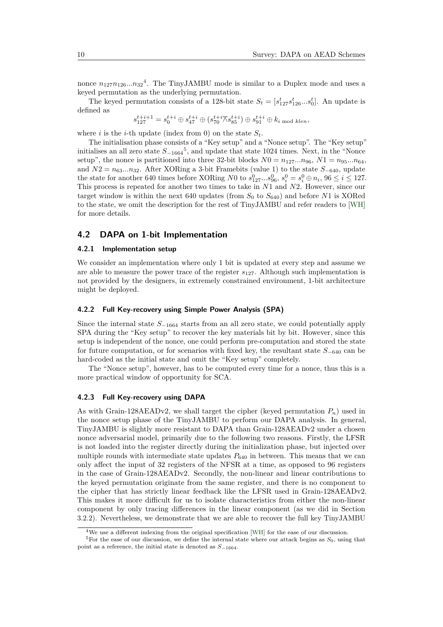nonce  $n_{127}n_{126}...n_{32}$ <sup>[4](#page-9-1)</sup>. The TinyJAMBU mode is similar to a Duplex mode and uses a keyed permutation as the underlying permutation.

The keyed permutation consists of a 128-bit state  $S_t = [s_{127}^t s_{126}^t... s_0^t]$ . An update is defined as

$$
s_{127}^{t+i+1} = s_0^{t+i} \oplus s_{47}^{t+i} \oplus (s_{70}^{t+i} \bar{\wedge} s_{85}^{t+i}) \oplus s_{91}^{t+i} \oplus k_{i \bmod klen},
$$

where *i* is the *i*-th update (index from 0) on the state  $S_t$ .

The initialisation phase consists of a "Key setup" and a "Nonce setup". The "Key setup" initialises an all zero state *S*−<sup>1664</sup> [5](#page-9-2) , and update that state 1024 times. Next, in the "Nonce setup", the nonce is partitioned into three 32-bit blocks  $N0 = n_{127}...n_{96}$ ,  $N1 = n_{95}...n_{64}$ , and  $N2 = n_{63}...n_{32}$ . After XORing a 3-bit Framebits (value 1) to the state  $S_{-640}$ , update the state for another 640 times before XORing *N*<sup>0</sup> to  $s_{127}^0...s_{96}^0$ ,  $s_i^0 = s_i^0 \oplus n_i$ ,  $96 \le i \le 127$ . This process is repeated for another two times to take in *N*1 and *N*2. However, since our target window is within the next 640 updates (from  $S_0$  to  $S_{640}$ ) and before N1 is XORed to the state, we omit the description for the rest of TinyJAMBU and refer readers to [\[WH\]](#page-14-5) for more details.

# <span id="page-9-0"></span>**4.2 DAPA on 1-bit Implementation**

#### **4.2.1 Implementation setup**

We consider an implementation where only 1 bit is updated at every step and assume we are able to measure the power trace of the register *s*127. Although such implementation is not provided by the designers, in extremely constrained environment, 1-bit architecture might be deployed.

## **4.2.2 Full Key-recovery using Simple Power Analysis (SPA)**

Since the internal state *S*<sup>−</sup><sup>1664</sup> starts from an all zero state, we could potentially apply SPA during the "Key setup" to recover the key materials bit by bit. However, since this setup is independent of the nonce, one could perform pre-computation and stored the state for future computation, or for scenarios with fixed key, the resultant state *S*<sup>−</sup><sup>640</sup> can be hard-coded as the initial state and omit the "Key setup" completely.

The "Nonce setup", however, has to be computed every time for a nonce, thus this is a more practical window of opportunity for SCA.

#### **4.2.3 Full Key-recovery using DAPA**

As with Grain-128AEADv2, we shall target the cipher (keyed permutation  $P_n$ ) used in the nonce setup phase of the TinyJAMBU to perform our DAPA analysis. In general, TinyJAMBU is slightly more resistant to DAPA than Grain-128AEADv2 under a chosen nonce adversarial model, primarily due to the following two reasons. Firstly, the LFSR is not loaded into the register directly during the initialization phase, but injected over multiple rounds with intermediate state updates *P*<sup>640</sup> in between. This means that we can only affect the input of 32 registers of the NFSR at a time, as opposed to 96 registers in the case of Grain-128AEADv2. Secondly, the non-linear and linear contributions to the keyed permutation originate from the same register, and there is no component to the cipher that has strictly linear feedback like the LFSR used in Grain-128AEADv2. This makes it more difficult for us to isolate characteristics from either the non-linear component by only tracing differences in the linear component (as we did in Section 3.2.2). Nevertheless, we demonstrate that we are able to recover the full key TinyJAMBU

<span id="page-9-2"></span><span id="page-9-1"></span><sup>4</sup>We use a different indexing from the original specification [\[WH\]](#page-14-5) for the ease of our discussion.

<sup>&</sup>lt;sup>5</sup>For the ease of our discussion, we define the internal state where our attack begins as  $S_0$ , using that point as a reference, the initial state is denoted as *S*−1664.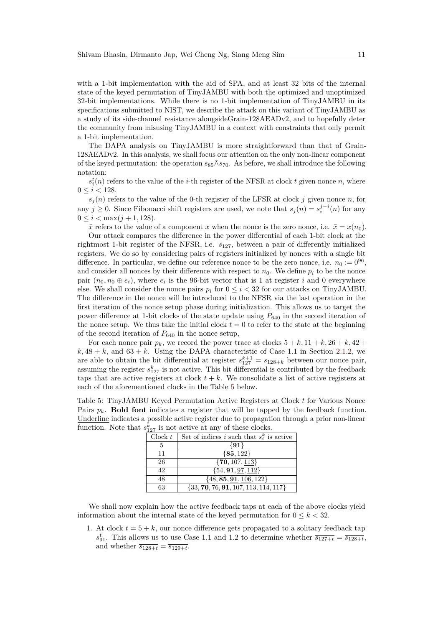with a 1-bit implementation with the aid of SPA, and at least 32 bits of the internal state of the keyed permutation of TinyJAMBU with both the optimized and unoptimized 32-bit implementations. While there is no 1-bit implementation of TinyJAMBU in its specifications submitted to NIST, we describe the attack on this variant of TinyJAMBU as a study of its side-channel resistance alongsideGrain-128AEADv2, and to hopefully deter the community from misusing TinyJAMBU in a context with constraints that only permit a 1-bit implementation.

The DAPA analysis on TinyJAMBU is more straightforward than that of Grain-128AEADv2. In this analysis, we shall focus our attention on the only non-linear component of the keyed permutation: the operation *s*85∧¯*s*70. As before, we shall introduce the following notation:

 $s_i^t(n)$  refers to the value of the *i*-th register of the NFSR at clock *t* given nonce *n*, where  $0 \leq i < 128$ .

 $s_j(n)$  refers to the value of the 0-th register of the LFSR at clock *j* given nonce *n*, for any  $j \geq 0$ . Since Fibonacci shift registers are used, we note that  $s_j(n) = s_i^{j-i}(n)$  for any  $0 \leq i < \max(j+1, 128)$ .

 $\bar{x}$  refers to the value of a component *x* when the nonce is the zero nonce, i.e.  $\bar{x} = x(n_0)$ .

Our attack compares the difference in the power differential of each 1-bit clock at the rightmost 1-bit register of the NFSR, i.e. *s*127, between a pair of differently initialized registers. We do so by considering pairs of registers initialized by nonces with a single bit difference. In particular, we define our reference nonce to be the zero nonce, i.e.  $n_0 := 0^{96}$ , and consider all nonces by their difference with respect to  $n_0$ . We define  $p_i$  to be the nonce pair  $(n_0, n_0 \oplus e_i)$ , where  $e_i$  is the 96-bit vector that is 1 at register *i* and 0 everywhere else. We shall consider the nonce pairs  $p_i$  for  $0 \leq i < 32$  for our attacks on TinyJAMBU. The difference in the nonce will be introduced to the NFSR via the last operation in the first iteration of the nonce setup phase during initialization. This allows us to target the power difference at 1-bit clocks of the state update using *P*<sup>640</sup> in the second iteration of the nonce setup. We thus take the initial clock  $t = 0$  to refer to the state at the beginning of the second iteration of  $P_{640}$  in the nonce setup,

For each nonce pair  $p_k$ , we record the power trace at clocks  $5 + k$ ,  $11 + k$ ,  $26 + k$ ,  $42 +$  $k, 48 + k$ , and  $63 + k$ . Using the DAPA characteristic of Case 1.1 in Section [2.1.2,](#page-2-2) we are able to obtain the bit differential at register  $s_{127}^{k+1} = s_{128+k}$  between our nonce pair, assuming the register  $s_{127}^k$  is not active. This bit differential is contributed by the feedback taps that are active registers at clock  $t + k$ . We consolidate a list of active registers at each of the aforementioned clocks in the Table [5](#page-10-0) below.

<span id="page-10-0"></span>Table 5: TinyJAMBU Keyed Permutation Active Registers at Clock *t* for Various Nonce Pairs  $p_k$ . **Bold font** indicates a register that will be tapped by the feedback function. Underline indicates a possible active register due to propagation through a prior non-linear function. Note that  $s_{127}^k$  is not active at any of these clocks.

| Clock $t$ | Set of indices i such that $s_i^k$ is active |
|-----------|----------------------------------------------|
| 5         | $\{91\}$                                     |
| 11        | ${85, 122}$                                  |
| 26        | $\{70, 107, 113\}$                           |
| 42.       | $\{54, 91, 97, 112\}$                        |
| 48        | $\{48, 85, \underline{91}, 106, 122\}$       |
| 63        | $\{33, 70, 76, 91, 107, 113, 114, 117\}$     |

We shall now explain how the active feedback taps at each of the above clocks yield information about the internal state of the keyed permutation for  $0 \leq k \leq 32$ .

1. At clock  $t = 5 + k$ , our nonce difference gets propagated to a solitary feedback tap  $s_{91}^t$ . This allows us to use Case 1.1 and 1.2 to determine whether  $\overline{s_{127+t}} = \overline{s_{128+t}}$ , and whether  $\overline{s_{128+t}} = \overline{s_{129+t}}$ .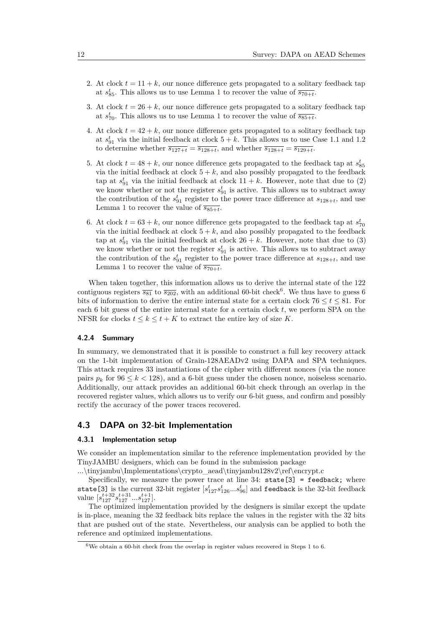- 2. At clock  $t = 11 + k$ , our nonce difference gets propagated to a solitary feedback tap at  $s_{85}^t$ . This allows us to use Lemma [1](#page-3-1) to recover the value of  $\overline{s_{70+t}}$ .
- 3. At clock  $t = 26 + k$ , our nonce difference gets propagated to a solitary feedback tap at  $s_{70}^t$ . This allows us to use Lemma [1](#page-3-1) to recover the value of  $\overline{s_{85+t}}$ .
- 4. At clock  $t = 42 + k$ , our nonce difference gets propagated to a solitary feedback tap at  $s_{91}^t$  via the initial feedback at clock  $5 + k$ . This allows us to use Case 1.1 and 1.2 to determine whether  $\overline{s_{127+t}} = \overline{s_{128+t}}$ , and whether  $\overline{s_{128+t}} = \overline{s_{129+t}}$ .
- 5. At clock  $t = 48 + k$ , our nonce difference gets propagated to the feedback tap at  $s_{85}^t$ via the initial feedback at clock  $5 + k$ , and also possibly propagated to the feedback tap at  $s_{91}^t$  via the initial feedback at clock  $11 + k$ . However, note that due to (2) we know whether or not the register  $s_{91}^t$  is active. This allows us to subtract away the contribution of the  $s_{91}^t$  register to the power trace difference at  $s_{128+t}$ , and use Lemma [1](#page-3-1) to recover the value of  $\overline{s_{85+t}}$ .
- 6. At clock  $t = 63 + k$ , our nonce difference gets propagated to the feedback tap at  $s_{70}^t$ via the initial feedback at clock  $5 + k$ , and also possibly propagated to the feedback tap at  $s_{91}^t$  via the initial feedback at clock  $26 + k$ . However, note that due to (3) we know whether or not the register  $s_{91}^t$  is active. This allows us to subtract away the contribution of the  $s_{91}^t$  register to the power trace difference at  $s_{128+t}$ , and use Lemma [1](#page-3-1) to recover the value of  $\overline{s_{70+t}}$ .

When taken together, this information allows us to derive the internal state of the 122 contiguous registers  $\overline{s_{81}}$  to  $\overline{s_{202}}$ , with an additional [6](#page-11-1)0-bit check<sup>6</sup>. We thus have to guess 6 bits of information to derive the entire internal state for a certain clock  $76 \le t \le 81$ . For each 6 bit guess of the entire internal state for a certain clock *t*, we perform SPA on the NFSR for clocks  $t \leq k \leq t + K$  to extract the entire key of size *K*.

## **4.2.4 Summary**

In summary, we demonstrated that it is possible to construct a full key recovery attack on the 1-bit implementation of Grain-128AEADv2 using DAPA and SPA techniques. This attack requires 33 instantiations of the cipher with different nonces (via the nonce pairs  $p_k$  for  $96 \leq k < 128$ ), and a 6-bit guess under the chosen nonce, noiseless scenario. Additionally, our attack provides an additional 60-bit check through an overlap in the recovered register values, which allows us to verify our 6-bit guess, and confirm and possibly rectify the accuracy of the power traces recovered.

# <span id="page-11-0"></span>**4.3 DAPA on 32-bit Implementation**

## **4.3.1 Implementation setup**

We consider an implementation similar to the reference implementation provided by the TinyJAMBU designers, which can be found in the submission package

...\tinyjambu\Implementations\crypto\_aead\tinyjambu128v2\ref\encrypt.c

Specifically, we measure the power trace at line  $34:$  state [3] = feedback; where state<sup>[3]</sup> is the current 32-bit register  $[s^t_{127}s^t_{126}...s^t_{96}]$  and feedback is the 32-bit feedback value  $[s_{127}^{t+32} s_{127}^{t+31} \dots s_{127}^{t+1}].$ 

The optimized implementation provided by the designers is similar except the update is in-place, meaning the 32 feedback bits replace the values in the register with the 32 bits that are pushed out of the state. Nevertheless, our analysis can be applied to both the reference and optimized implementations.

<span id="page-11-1"></span> $^6\rm{We}$  obtain a 60-bit check from the overlap in register values recovered in Steps 1 to 6.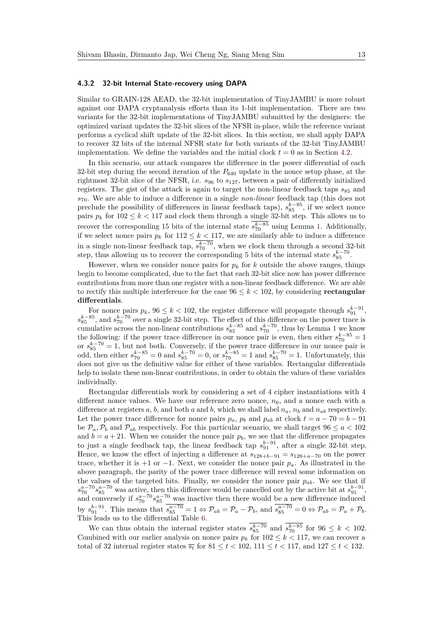#### **4.3.2 32-bit Internal State-recovery using DAPA**

Similar to GRAIN-128 AEAD, the 32-bit implementation of TinyJAMBU is more robust against our DAPA cryptanalysis efforts than its 1-bit implementation. There are two variants for the 32-bit implementations of TinyJAMBU submitted by the designers: the optimized variant updates the 32-bit slices of the NFSR in-place, while the reference variant performs a cyclical shift update of the 32-bit slices. In this section, we shall apply DAPA to recover 32 bits of the internal NFSR state for both variants of the 32-bit TinyJAMBU implementation. We define the variables and the initial clock  $t = 0$  as in Section [4.2.](#page-9-0)

In this scenario, our attack compares the difference in the power differential of each 32-bit step during the second iteration of the *P*<sup>640</sup> update in the nonce setup phase, at the rightmost 32-bit slice of the NFSR, i.e. *s*<sup>96</sup> to *s*127, between a pair of differently initialized registers. The gist of the attack is again to target the non-linear feedback taps  $s_{85}$  and *s*70. We are able to induce a difference in a single *non-linear* feedback tap (this does not preclude the possibility of differences in linear feedback taps),  $s_{85}^{k-85}$ , if we select nonce pairs  $p_k$  for  $102 \leq k < 117$  and clock them through a single 32-bit step. This allows us to recover the corresponding 15 bits of the internal state  $s_{70}^{k-85}$  using Lemma [1.](#page-3-1) Additionally, if we select nonce pairs  $p_k$  for  $112 \leq k < 117$ , we are similarly able to induce a difference in a single non-linear feedback tap,  $s_{70}^{k-70}$ , when we clock them through a second 32-bit step, thus allowing us to recover the corresponding 5 bits of the internal state  $s_{85}^{k-70}$ .

However, when we consider nonce pairs for  $p_k$  for  $k$  outside the above ranges, things begin to become complicated, due to the fact that each 32-bit slice now has power difference contributions from more than one register with a non-linear feedback difference. We are able to rectify this multiple interference for the case  $96 \leq k < 102$ , by considering **rectangular differentials**.

For nonce pairs  $p_k$ , 96  $\leq k < 102$ , the register difference will propagate through  $s_{91}^{k-91}$ ,  $s_{85}^{k-85}$ , and  $s_{70}^{k-70}$  over a single 32-bit step. The effect of this difference on the power trace is cumulative across the non-linear contributions  $s_{85}^{k-85}$  and  $s_{70}^{k-70}$ , thus by Lemma [1](#page-3-1) we know the following: if the power trace difference in our nonce pair is even, then either  $s_{70}^{k-85} = 1$ or  $s_{85}^{k-70} = 1$ , but not both. Conversely, if the power trace difference in our nonce pair is odd, then either  $s_{70}^{k-85} = 0$  and  $s_{85}^{k-70} = 0$ , or  $s_{70}^{k-85} = 1$  and  $s_{85}^{k-70} = 1$ . Unfortunately, this does not give us the definitive value for either of these variables. Rectangular differentials help to isolate these non-linear contributions, in order to obtain the values of these variables individually.

Rectangular differentials work by considering a set of 4 cipher instantiations with 4 different nonce values. We have our reference zero nonce,  $n_0$ , and a nonce each with a difference at registers *a*, *b*, and both *a* and *b*, which we shall label *na*, *n<sup>b</sup>* and *nab* respectively. Let the power trace difference for nonce pairs  $p_a$ ,  $p_b$  and  $p_{ab}$  at clock  $t = a - 70 = b - 91$ be  $\mathcal{P}_a, \mathcal{P}_b$  and  $\mathcal{P}_{ab}$  respectively. For this particular scenario, we shall target  $96 \le a < 102$ and  $b = a + 21$ . When we consider the nonce pair  $p<sub>b</sub>$ , we see that the difference propagates to just a single feedback tap, the linear feedback tap  $s_{91}^{b-91}$ , after a single 32-bit step. Hence, we know the effect of injecting a difference at  $s_{128+b-91} = s_{128+a-70}$  on the power trace, whether it is  $+1$  or  $-1$ . Next, we consider the nonce pair  $p_a$ . As illustrated in the above paragraph, the parity of the power trace difference will reveal some information on the values of the targeted bits. Finally, we consider the nonce pair *pab*. We see that if  $s_{70}^{a-70} s_{85}^{a-70}$  was active, then this difference would be cancelled out by the active bit at  $s_{91}^{b-91}$ , and conversely if  $s_{70}^{a-70} s_{85}^{a-70}$  was inactive then there would be a new difference induced by  $s_{91}^{b-91}$ . This means that  $s_{85}^{a-70} = 1 \Leftrightarrow \mathcal{P}_{ab} = \mathcal{P}_a - \mathcal{P}_b$ , and  $s_{85}^{a-70} = 0 \Leftrightarrow \mathcal{P}_{ab} = \mathcal{P}_a + \mathcal{P}_b$ . This leads us to the differential Table [6.](#page-13-4)

We can thus obtain the internal register states  $s_{85}^{k-70}$  and  $s_{70}^{k-85}$  for  $96 \leq k < 102$ . Combined with our earlier analysis on nonce pairs  $p_k$  for  $102 \leq k < 117$ , we can recover a total of 32 internal register states  $\overline{s_t}$  for  $81 \le t < 102$ ,  $111 \le t < 117$ , and  $127 \le t < 132$ .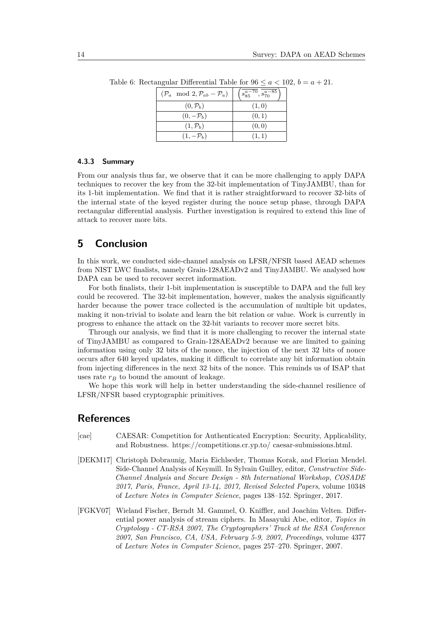| $(\mathcal{P}_a \mod 2, \mathcal{P}_{ab} - \mathcal{P}_a)$ | $\left(s_{85}^{a-70},\overline{s_{70}^{a-85}}\right)$ |
|------------------------------------------------------------|-------------------------------------------------------|
| $(0, \mathcal{P}_b)$                                       | (1,0)                                                 |
| $(0,-\mathcal{P}_b)$                                       | (0, 1)                                                |
| $(1, \mathcal{P}_b)$                                       | (0, 0)                                                |
| $(1,-\mathcal{P}_b)$                                       | (1, 1)                                                |

<span id="page-13-4"></span>Table 6: Rectangular Differential Table for  $96 \le a < 102$ ,  $b = a + 21$ .

#### **4.3.3 Summary**

From our analysis thus far, we observe that it can be more challenging to apply DAPA techniques to recover the key from the 32-bit implementation of TinyJAMBU, than for its 1-bit implementation. We find that it is rather straightforward to recover 32-bits of the internal state of the keyed register during the nonce setup phase, through DAPA rectangular differential analysis. Further investigation is required to extend this line of attack to recover more bits.

# <span id="page-13-2"></span>**5 Conclusion**

In this work, we conducted side-channel analysis on LFSR/NFSR based AEAD schemes from NIST LWC finalists, namely Grain-128AEADv2 and TinyJAMBU. We analysed how DAPA can be used to recover secret information.

For both finalists, their 1-bit implementation is susceptible to DAPA and the full key could be recovered. The 32-bit implementation, however, makes the analysis significantly harder because the power trace collected is the accumulation of multiple bit updates, making it non-trivial to isolate and learn the bit relation or value. Work is currently in progress to enhance the attack on the 32-bit variants to recover more secret bits.

Through our analysis, we find that it is more challenging to recover the internal state of TinyJAMBU as compared to Grain-128AEADv2 because we are limited to gaining information using only 32 bits of the nonce, the injection of the next 32 bits of nonce occurs after 640 keyed updates, making it difficult to correlate any bit information obtain from injecting differences in the next 32 bits of the nonce. This reminds us of ISAP that uses rate  $r_B$  to bound the amount of leakage.

We hope this work will help in better understanding the side-channel resilience of LFSR/NFSR based cryptographic primitives.

# **References**

- <span id="page-13-3"></span>[cae] CAESAR: Competition for Authenticated Encryption: Security, Applicability, and Robustness. https://competitions.cr.yp.to/ caesar-submissions.html.
- <span id="page-13-1"></span>[DEKM17] Christoph Dobraunig, Maria Eichlseder, Thomas Korak, and Florian Mendel. Side-Channel Analysis of Keymill. In Sylvain Guilley, editor, *Constructive Side-Channel Analysis and Secure Design - 8th International Workshop, COSADE 2017, Paris, France, April 13-14, 2017, Revised Selected Papers*, volume 10348 of *Lecture Notes in Computer Science*, pages 138–152. Springer, 2017.
- <span id="page-13-0"></span>[FGKV07] Wieland Fischer, Berndt M. Gammel, O. Kniffler, and Joachim Velten. Differential power analysis of stream ciphers. In Masayuki Abe, editor, *Topics in Cryptology - CT-RSA 2007, The Cryptographers' Track at the RSA Conference 2007, San Francisco, CA, USA, February 5-9, 2007, Proceedings*, volume 4377 of *Lecture Notes in Computer Science*, pages 257–270. Springer, 2007.